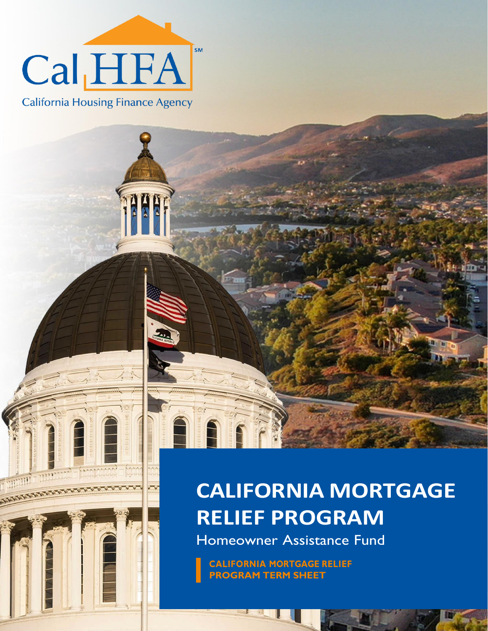

**California Housing Finance Agency** 

 $\frac{1}{2}$ A<br>A

## **CALIFORNIA MORTGAGE RELIEF PROGRAM**

Homeowner Assistance Fund

**CALIFORNIA MORTGAGE RELIEF PROGRAM TERM SHEET**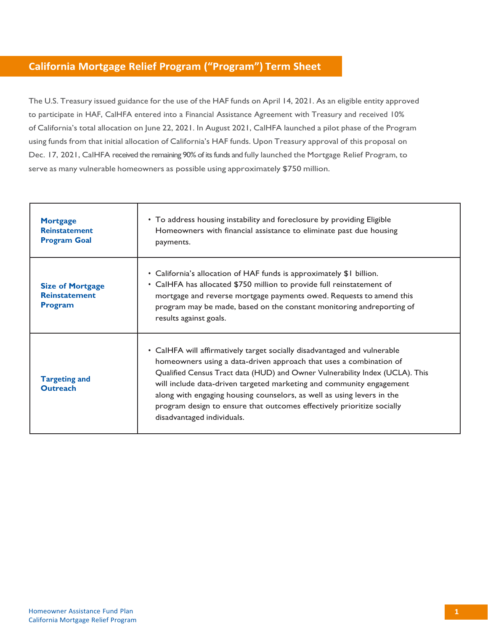## **California Mortgage Relief Program ("Program") Term Sheet**

The U.S. Treasury issued guidance for the use of the HAF funds on April 14, 2021. As an eligible entity approved to participate in HAF, CalHFA entered into a Financial Assistance Agreement with Treasury and received 10% of California's total allocation on June 22, 2021. In August 2021, CalHFA launched a pilot phase of the Program using funds from that initial allocation of California's HAF funds. Upon Treasury approval of this proposal on Dec. 17, 2021, CalHFA received the remaining 90% of its funds and fully launched the Mortgage Relief Program, to serve as many vulnerable homeowners as possible using approximately \$750 million.

| <b>Mortgage</b><br><b>Reinstatement</b><br><b>Program Goal</b>    | • To address housing instability and foreclosure by providing Eligible<br>Homeowners with financial assistance to eliminate past due housing<br>payments.                                                                                                                                                                                                                                                                                                                                |
|-------------------------------------------------------------------|------------------------------------------------------------------------------------------------------------------------------------------------------------------------------------------------------------------------------------------------------------------------------------------------------------------------------------------------------------------------------------------------------------------------------------------------------------------------------------------|
| <b>Size of Mortgage</b><br><b>Reinstatement</b><br><b>Program</b> | • California's allocation of HAF funds is approximately \$1 billion.<br>• CalHFA has allocated \$750 million to provide full reinstatement of<br>mortgage and reverse mortgage payments owed. Requests to amend this<br>program may be made, based on the constant monitoring andreporting of<br>results against goals.                                                                                                                                                                  |
| <b>Targeting and</b><br><b>Outreach</b>                           | • CalHFA will affirmatively target socially disadvantaged and vulnerable<br>homeowners using a data-driven approach that uses a combination of<br>Qualified Census Tract data (HUD) and Owner Vulnerability Index (UCLA). This<br>will include data-driven targeted marketing and community engagement<br>along with engaging housing counselors, as well as using levers in the<br>program design to ensure that outcomes effectively prioritize socially<br>disadvantaged individuals. |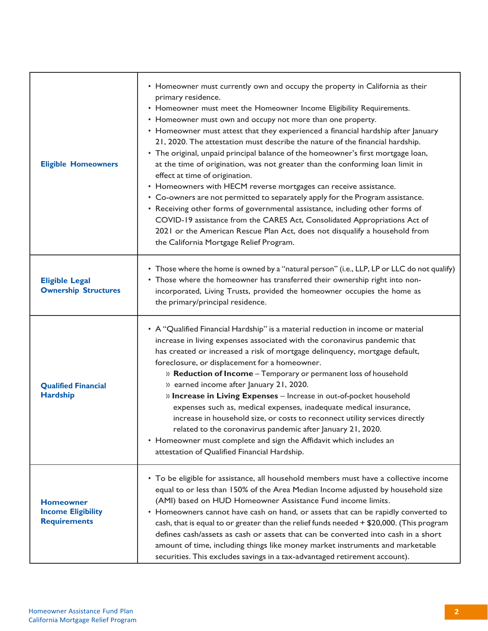| <b>Eligible Homeowners</b>                                           | • Homeowner must currently own and occupy the property in California as their<br>primary residence.<br>• Homeowner must meet the Homeowner Income Eligibility Requirements.<br>• Homeowner must own and occupy not more than one property.<br>• Homeowner must attest that they experienced a financial hardship after January<br>21, 2020. The attestation must describe the nature of the financial hardship.<br>• The original, unpaid principal balance of the homeowner's first mortgage loan,<br>at the time of origination, was not greater than the conforming loan limit in<br>effect at time of origination.<br>• Homeowners with HECM reverse mortgages can receive assistance.<br>• Co-owners are not permitted to separately apply for the Program assistance.<br>• Receiving other forms of governmental assistance, including other forms of<br>COVID-19 assistance from the CARES Act, Consolidated Appropriations Act of<br>2021 or the American Rescue Plan Act, does not disqualify a household from<br>the California Mortgage Relief Program. |
|----------------------------------------------------------------------|--------------------------------------------------------------------------------------------------------------------------------------------------------------------------------------------------------------------------------------------------------------------------------------------------------------------------------------------------------------------------------------------------------------------------------------------------------------------------------------------------------------------------------------------------------------------------------------------------------------------------------------------------------------------------------------------------------------------------------------------------------------------------------------------------------------------------------------------------------------------------------------------------------------------------------------------------------------------------------------------------------------------------------------------------------------------|
| <b>Eligible Legal</b><br><b>Ownership Structures</b>                 | • Those where the home is owned by a "natural person" (i.e., LLP, LP or LLC do not qualify)<br>• Those where the homeowner has transferred their ownership right into non-<br>incorporated, Living Trusts, provided the homeowner occupies the home as<br>the primary/principal residence.                                                                                                                                                                                                                                                                                                                                                                                                                                                                                                                                                                                                                                                                                                                                                                         |
| <b>Qualified Financial</b><br><b>Hardship</b>                        | • A "Qualified Financial Hardship" is a material reduction in income or material<br>increase in living expenses associated with the coronavirus pandemic that<br>has created or increased a risk of mortgage delinquency, mortgage default,<br>foreclosure, or displacement for a homeowner.<br>» Reduction of Income - Temporary or permanent loss of household<br>» earned income after January 21, 2020.<br>» Increase in Living Expenses - Increase in out-of-pocket household<br>expenses such as, medical expenses, inadequate medical insurance,<br>increase in household size, or costs to reconnect utility services directly<br>related to the coronavirus pandemic after January 21, 2020.<br>• Homeowner must complete and sign the Affidavit which includes an<br>attestation of Qualified Financial Hardship.                                                                                                                                                                                                                                        |
| <b>Homeowner</b><br><b>Income Eligibility</b><br><b>Requirements</b> | • To be eligible for assistance, all household members must have a collective income<br>equal to or less than 150% of the Area Median Income adjusted by household size<br>(AMI) based on HUD Homeowner Assistance Fund income limits.<br>• Homeowners cannot have cash on hand, or assets that can be rapidly converted to<br>cash, that is equal to or greater than the relief funds needed + \$20,000. (This program<br>defines cash/assets as cash or assets that can be converted into cash in a short<br>amount of time, including things like money market instruments and marketable<br>securities. This excludes savings in a tax-advantaged retirement account).                                                                                                                                                                                                                                                                                                                                                                                         |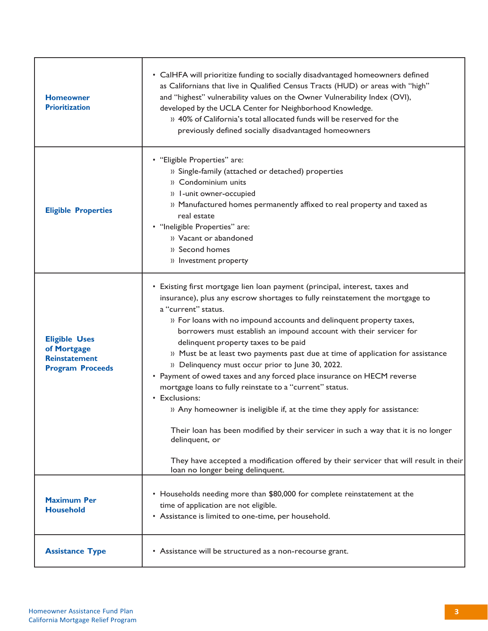| <b>Homeowner</b><br><b>Prioritization</b>                                              | • CalHFA will prioritize funding to socially disadvantaged homeowners defined<br>as Californians that live in Qualified Census Tracts (HUD) or areas with "high"<br>and "highest" vulnerability values on the Owner Vulnerability Index (OVI),<br>developed by the UCLA Center for Neighborhood Knowledge.<br>» 40% of California's total allocated funds will be reserved for the<br>previously defined socially disadvantaged homeowners                                                                                                                                                                                                                                                                                                                                                                                                                                                                                                                                            |
|----------------------------------------------------------------------------------------|---------------------------------------------------------------------------------------------------------------------------------------------------------------------------------------------------------------------------------------------------------------------------------------------------------------------------------------------------------------------------------------------------------------------------------------------------------------------------------------------------------------------------------------------------------------------------------------------------------------------------------------------------------------------------------------------------------------------------------------------------------------------------------------------------------------------------------------------------------------------------------------------------------------------------------------------------------------------------------------|
| <b>Eligible Properties</b>                                                             | • "Eligible Properties" are:<br>» Single-family (attached or detached) properties<br>» Condominium units<br>» I-unit owner-occupied<br>» Manufactured homes permanently affixed to real property and taxed as<br>real estate<br>• "Ineligible Properties" are:<br>» Vacant or abandoned<br>» Second homes<br>» Investment property                                                                                                                                                                                                                                                                                                                                                                                                                                                                                                                                                                                                                                                    |
| <b>Eligible Uses</b><br>of Mortgage<br><b>Reinstatement</b><br><b>Program Proceeds</b> | • Existing first mortgage lien loan payment (principal, interest, taxes and<br>insurance), plus any escrow shortages to fully reinstatement the mortgage to<br>a "current" status.<br>» For loans with no impound accounts and delinquent property taxes,<br>borrowers must establish an impound account with their servicer for<br>delinquent property taxes to be paid<br>» Must be at least two payments past due at time of application for assistance<br>» Delinquency must occur prior to June 30, 2022.<br>• Payment of owed taxes and any forced place insurance on HECM reverse<br>mortgage loans to fully reinstate to a "current" status.<br>• Exclusions:<br>» Any homeowner is ineligible if, at the time they apply for assistance:<br>Their loan has been modified by their servicer in such a way that it is no longer<br>delinquent, or<br>They have accepted a modification offered by their servicer that will result in their<br>loan no longer being delinquent. |
| <b>Maximum Per</b><br><b>Household</b>                                                 | • Households needing more than \$80,000 for complete reinstatement at the<br>time of application are not eligible.<br>• Assistance is limited to one-time, per household.                                                                                                                                                                                                                                                                                                                                                                                                                                                                                                                                                                                                                                                                                                                                                                                                             |
| <b>Assistance Type</b>                                                                 | • Assistance will be structured as a non-recourse grant.                                                                                                                                                                                                                                                                                                                                                                                                                                                                                                                                                                                                                                                                                                                                                                                                                                                                                                                              |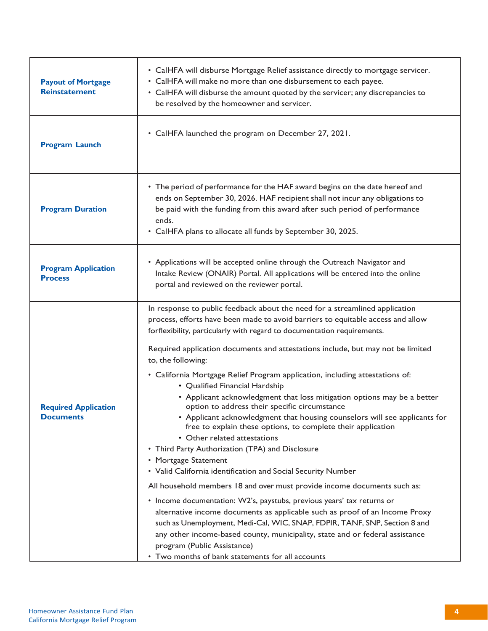| <b>Payout of Mortgage</b><br><b>Reinstatement</b> | • CalHFA will disburse Mortgage Relief assistance directly to mortgage servicer.<br>• CalHFA will make no more than one disbursement to each payee.<br>• CalHFA will disburse the amount quoted by the servicer; any discrepancies to<br>be resolved by the homeowner and servicer.                                                                                                                                                                                                                                                                                                                                                                                                                                                                                                                                                                                                                                                                                                                                                                                                                                                                                                                                                                                                                                                                                                                              |
|---------------------------------------------------|------------------------------------------------------------------------------------------------------------------------------------------------------------------------------------------------------------------------------------------------------------------------------------------------------------------------------------------------------------------------------------------------------------------------------------------------------------------------------------------------------------------------------------------------------------------------------------------------------------------------------------------------------------------------------------------------------------------------------------------------------------------------------------------------------------------------------------------------------------------------------------------------------------------------------------------------------------------------------------------------------------------------------------------------------------------------------------------------------------------------------------------------------------------------------------------------------------------------------------------------------------------------------------------------------------------------------------------------------------------------------------------------------------------|
| <b>Program Launch</b>                             | • CalHFA launched the program on December 27, 2021.                                                                                                                                                                                                                                                                                                                                                                                                                                                                                                                                                                                                                                                                                                                                                                                                                                                                                                                                                                                                                                                                                                                                                                                                                                                                                                                                                              |
| <b>Program Duration</b>                           | • The period of performance for the HAF award begins on the date hereof and<br>ends on September 30, 2026. HAF recipient shall not incur any obligations to<br>be paid with the funding from this award after such period of performance<br>ends.<br>• CalHFA plans to allocate all funds by September 30, 2025.                                                                                                                                                                                                                                                                                                                                                                                                                                                                                                                                                                                                                                                                                                                                                                                                                                                                                                                                                                                                                                                                                                 |
| <b>Program Application</b><br><b>Process</b>      | • Applications will be accepted online through the Outreach Navigator and<br>Intake Review (ONAIR) Portal. All applications will be entered into the online<br>portal and reviewed on the reviewer portal.                                                                                                                                                                                                                                                                                                                                                                                                                                                                                                                                                                                                                                                                                                                                                                                                                                                                                                                                                                                                                                                                                                                                                                                                       |
| <b>Required Application</b><br><b>Documents</b>   | In response to public feedback about the need for a streamlined application<br>process, efforts have been made to avoid barriers to equitable access and allow<br>forflexibility, particularly with regard to documentation requirements.<br>Required application documents and attestations include, but may not be limited<br>to, the following:<br>• California Mortgage Relief Program application, including attestations of:<br>• Qualified Financial Hardship<br>• Applicant acknowledgment that loss mitigation options may be a better<br>option to address their specific circumstance<br>• Applicant acknowledgment that housing counselors will see applicants for<br>free to explain these options, to complete their application<br>• Other related attestations<br>• Third Party Authorization (TPA) and Disclosure<br>• Mortgage Statement<br>• Valid California identification and Social Security Number<br>All household members 18 and over must provide income documents such as:<br>• Income documentation: W2's, paystubs, previous years' tax returns or<br>alternative income documents as applicable such as proof of an Income Proxy<br>such as Unemployment, Medi-Cal, WIC, SNAP, FDPIR, TANF, SNP, Section 8 and<br>any other income-based county, municipality, state and or federal assistance<br>program (Public Assistance)<br>• Two months of bank statements for all accounts |